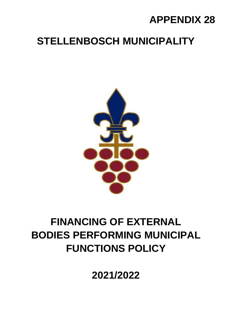## **APPENDIX 28**

# **STELLENBOSCH MUNICIPALITY**



# **FINANCING OF EXTERNAL BODIES PERFORMING MUNICIPAL FUNCTIONS POLICY**

**2021/2022**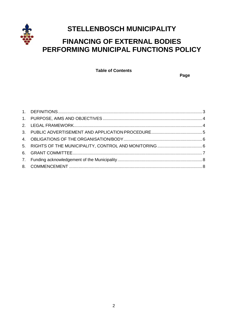

## **STELLENBOSCH MUNICIPALITY**

### **FINANCING OF EXTERNAL BODIES PERFORMING MUNICIPAL FUNCTIONS POLICY**

**Table of Contents**

 **Page**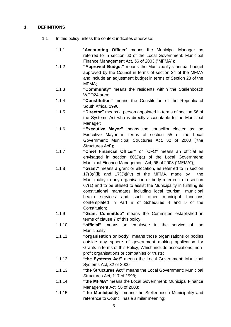#### <span id="page-2-0"></span>**1. DEFINITIONS**

- 1.1 In this policy unless the context indicates otherwise:
	- 1.1.1 "**Accounting Officer**" means the Municipal Manager as referred to in section 60 of the Local Government: Municipal Finance Management Act, 56 of 2003 ("MFMA");
	- 1.1.2 **"Approved Budget"** means the Municipality's annual budget approved by the Council in terms of section 24 of the MFMA and include an adjustment budget in terms of Section 28 of the MFMA;
	- 1.1.3 **"Community"** means the residents within the Stellenbosch WCO24 area;
	- 1.1.4 **"Constitution"** means the Constitution of the Republic of South Africa, 1996;
	- 1.1.5 **"Director"** means a person appointed in terms of section 56 of the Systems Act who is directly accountable to the Municipal Manager;
	- 1.1.6 **"Executive Mayor"** means the councillor elected as the Executive Mayor in terms of section 55 of the Local Government: Municipal Structures Act, 32 of 2000 ("the Structures Act");
	- 1.1.7 **"Chief Financial Officer"** or "CFO" means an official as envisaged in section 80(2)(a) of the Local Government: Municipal Finance Management Act, 56 of 2003 ("MFMA");
	- 1.1.8 **"Grant"** means a grant or allocation, as referred to in section  $17(3)(j(ii)$  and  $17(3)(j(iv)$  of the MFMA, made by the Municipality to any organisation or body referred to in section 67(1) and to be utilised to assist the Municipality in fulfilling its constitutional mandates including local tourism, municipal health services and such other municipal functions contemplated in Part B of Schedules 4 and 5 of the Constitution;
	- 1.1.9 **"Grant Committee"** means the Committee established in terms of clause 7 of this policy;
	- 1.1.10 **"official"** means an employee in the service of the Municipality;
	- 1.1.11 **"organisation or body"** means those organisations or bodies outside any sphere of government making application for Grants in terms of this Policy, Which include associations, nonprofit organisations or companies or trusts;
	- 1.1.12 **"the Systems Act"** means the Local Government: Municipal Systems Act, 32 of 2000;
	- 1.1.13 **"the Structures Act"** means the Local Government: Municipal Structures Act, 117 of 1998;
	- 1.1.14 **"the MFMA"** means the Local Government: Municipal Finance Management Act, 56 of 2003;
	- 1.1.15 **"the Municipality"** means the Stellenbosch Municipality and reference to Council has a similar meaning;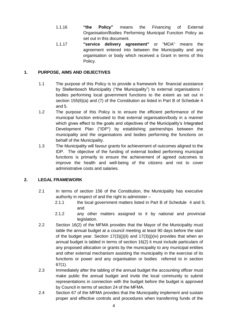- 1.1.16 **"the Policy"** means the Financing of External Organisation/Bodies Performing Municipal Function Policy as set out in this document.
- 1.1.17 **"service delivery agreement"** or "MOA" means the agreement entered into between the Municipality and any organisation or body which received a Grant in terms of this Policy.

#### <span id="page-3-0"></span>**1. PURPOSE, AIMS AND OBJECTIVES**

- 1.1 The purpose of this Policy is to provide a framework for financial assistance by Stellenbosch Municipality ("the Municipality") to external organisations / bodies performing local government functions to the extent as set out in section 155(6)(a) and (7) of the Constitution as listed in Part B of Schedule 4 and 5.
- 1.2 The purpose of this Policy is to ensure the efficient performance of the municipal function entrusted to that external organisation/body in a manner which gives effect to the goals and objectives of the Municipality's Integrated Development Plan ("IDP") by establishing partnerships between the municipality and the organisatons and bodies performing the functions on behalf of the Municipality.
- 1.3 The Municipality will favour grants for achievement of outcomes aligned to the IDP. The objective of the funding of external bodied performing municipal functions is primarily to ensure the achievement of agreed outcomes to improve the health and well-being of the citizens and not to cover administrative costs and salaries.

#### <span id="page-3-1"></span>**2. LEGAL FRAMEWORK**

- 2.1 In terms of section 156 of the Constitution, the Municipality has executive authority in respect of and the right to administer –
	- 2.1.1 the local government matters listed in Part B of Schedule 4 and 5; and
	- 2.1.2 any other matters assigned to it by national and provincial legislation.
- 2.2 Section 16(2) of the MFMA provides that the Mayor of the Municipality must table the annual budget at a council meeting at least 90 days before the start of the budget year. Section  $17(3)(i)(ii)$  and  $17(3)(i)(iv)$  provides that when an annual budget is tabled in terms of section 16(2) it must include particulars of any proposed allocation or grants by the municipality to any municipal entities and other external mechanism assisting the municipality in the exercise of its functions or power and any organisation or bodies referred to in section 67(1).
- 2.3 Immediately after the tabling of the annual budget the accounting officer must make public the annual budget and invite the local community to submit representations in connection with the budget before the budget is approved by Council in terms of section 24 of the MFMA.
- 2.4 Section 67 of the MFMA provides that the Municipality implement and sustain proper and effective controls and procedures when transferring funds of the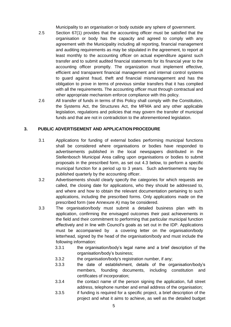Municipality to an organisation or body outside any sphere of government.

- 2.5 Section 67(1) provides that the accounting officer must be satisfied that the organisation or body has the capacity and agreed to comply with any agreement with the Municipality including all reporting, financial management and auditing requirements as may be stipulated in the agreement, to report at least monthly to the accounting officer on actual expenditure against such transfer and to submit audited financial statements for its financial year to the accounting officer promptly. The organization must implement effective, efficient and transparent financial management and internal control systems to guard against fraud, theft and financial mismanagement and has the obligation to prove in terms of previous similar transfers that it has complied with all the requirements. The accounting officer must through contractual and other appropriate mechanism enforce compliance with this policy.
- 2.6 All transfer of funds in terms of this Policy shall comply with the Constitution, the Systems Act, the Structures Act, the MFMA and any other applicable legislation, regulations and policies that may govern the transfer of municipal funds and that are not in contradiction to the aforementioned legislation.

#### <span id="page-4-0"></span>**3. PUBLIC ADVERTISEMENT AND APPLICATION PROCEDURE**

- 3.1 Applications for funding of external bodies performing municipal functions shall be considered where organisations or bodies have responded to advertisements published in the local newspapers distributed in the Stellenbosch Municipal Area calling upon organisations or bodies to submit proposals in the prescribed form, as set out 4.3 below, to perform a specific municipal function for a period up to 3 years. Such advertisements may be published quarterly by the accounting officer.
- 3.2 Advertisements should clearly specify the categories for which requests are called, the closing date for applications, who they should be addressed to, and where and how to obtain the relevant documentation pertaining to such applications, including the prescribed forms. Only applications made on the prescribed form (see Annexure A) may be considered.
- 3.3 The organisation/body must submit a detailed business plan with its application, confirming the envisaged outcomes their past achievements in the field and their commitment to performing that particular municipal function effectively and in line with Council's goals as set out in the IDP. Applications must be accompanied by a covering letter on the organisation/body letterhead, signed by the head of the organisation/body and must include the following information:
	- 3.3.1 the organisation/body's legal name and a brief description of the organisation/body's business;
	- 3.3.2 the organisation/body's registration number, if any;
	- 3.3.3 the date of establishment, details of the organisation/body's members, founding documents, including constitution and certificates of incorporation;
	- 3.3.4 the contact name of the person signing the application, full street address, telephone number and email address of the organisation;
	- 3.3.5 if funding is required for a specific project, a brief description of the project and what it aims to achieve, as well as the detailed budget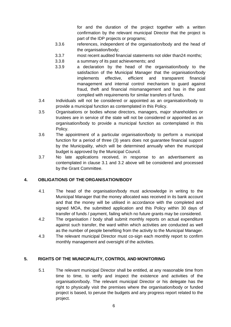for and the duration of the project together with a written confirmation by the relevant municipal Director that the project is part of the IDP projects or programs;

- 3.3.6 references, independent of the organisation/body and the head of the organisation/body;
- 3.3.7 most recent audited financial statements not older than24 months;
- 3.3.8 a summary of its past achievements; and
- 3.3.9 a declaration by the head of the organisation/body to the satisfaction of the Municipal Manager that the organisation/body implements effective, efficient and transparent financial management and internal control mechanism to guard against fraud, theft and financial mismanagement and has in the past complied with requirements for similar transfers of funds.
- 3.4 Individuals will not be considered or appointed as an organisation/body to provide a municipal function as contemplated in this Policy.
- 3.5 Organisations or bodies whose directors, managers, major shareholders or trustees are in service of the state will not be considered or appointed as an organisation/body to provide a municipal function as contemplated in this Policy.
- 3.6 The appointment of a particular organisation/body to perform a municipal function for a period of three (3) years does not guarantee financial support by the Municipality, which will be determined annually when the municipal budget is approved by the Municipal Council.
- 3.7 No late applications received, in response to an advertisement as contemplated in clause 3.1 and 3.2 above will be considered and processed by the Grant Committee.

#### <span id="page-5-0"></span>**4. OBLIGATIONS OF THE ORGANISATION/BODY**

- 4.1 The head of the organisation/body must acknowledge in writing to the Municipal Manager that the money allocated was received in its bank account and that the money will be utilised in accordance with the completed and signed MOA, the submitted application and this Policy within 30 days of transfer of funds / payment, failing which no future grants may be considered.
- 4.2 The organisation / body shall submit monthly reports on actual expenditure against such transfer, the ward within which activities are conducted as well as the number of people benefiting from the activity to the Municipal Manager.
- 4.3 The relevant municipal Director must co-sign each monthly report to confirm monthly management and oversight of the activities.

#### <span id="page-5-1"></span>**5. RIGHTS OF THE MUNICIPALITY, CONTROL AND MONITORING**

5.1 The relevant municipal Director shall be entitled, at any reasonable time from time to time, to verify and inspect the existence and activities of the organisation/body. The relevant municipal Director or his delegate has the right to physically visit the premises where the organisation/body or funded project is based, to peruse the budgets and any progress report related to the project.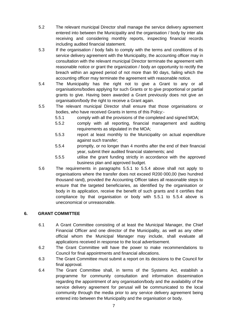- 5.2 The relevant municipal Director shall manage the service delivery agreement entered into between the Municipality and the organisation / body by inter alia receiving and considering monthly reports, inspecting financial records including audited financial statement.
- 5.3 If the organisation / body fails to comply with the terms and conditions of its service delivery agreement with the Municipality, the accounting officer may in consultation with the relevant municipal Director terminate the agreement with reasonable notice or grant the organization / body an opportunity to rectify the breach within an agreed period of not more than 90 days, failing which the accounting officer may terminate the agreement with reasonable notice.
- 5.4 The Municipality has the right not to give a Grant to any or all organisations/bodies applying for such Grants or to give proportional or partial grants to give. Having been awarded a Grant previously does not give an organisation/body the right to receive a Grant again.
- 5.5 The relevant municipal Director shall ensure that those organisations or bodies, who have received Grants in terms of this Policy:-
	- 5.5.1 comply with all the provisions of the completed and signed MOA;
	- 5.5.2 comply with all reporting, financial management and auditing requirements as stipulated in the MOA;
	- 5.5.3 report at least monthly to the Municipality on actual expenditure against such transfer;
	- 5.5.4 promptly, or no longer than 4 months after the end of their financial year, submit their audited financial statements; and
	- 5.5.5 utilise the grant funding strictly in accordance with the approved business plan and approved budget.
- 5.6 The requirements in paragraphs 5.5.1 to 5.5.4 above shall not apply to organisations where the transfer does not exceed R200 000,00 (two hundred thousand rand), provided the Accounting Officer takes all reasonable steps to ensure that the targeted beneficiaries, as identified by the organisation or body in its application, receive the benefit of such grants and it certifies that compliance by that organisation or body with 5.5.1 to 5.5.4 above is uneconomical or unreasonable.

#### <span id="page-6-0"></span>**6. GRANT COMMITTEE**

- 6.1 A Grant Committee consisting of at least the Municipal Manager, the Chief Financial Officer and one director of the Municipality, as well as any other official whom the Municipal Manager may include, shall evaluate all applications received in response to the local advertisement.
- 6.2 The Grant Committee will have the power to make recommendations to Council for final appointments and financial allocations.
- 6.3 The Grant Committee must submit a report on its decisions to the Council for final approval.
- 6.4 The Grant Committee shall, in terms of the Systems Act, establish a programme for community consultation and information dissemination regarding the appointment of any organisation/body and the availability of the service delivery agreement for perusal will be communicated to the local community through the media prior to any service delivery agreement being entered into between the Municipality and the organisation or body.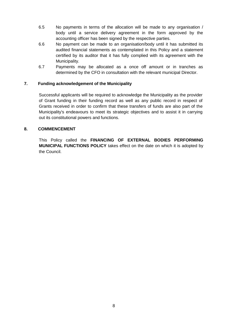- 6.5 No payments in terms of the allocation will be made to any organisation / body until a service delivery agreement in the form approved by the accounting officer has been signed by the respective parties.
- 6.6 No payment can be made to an organisation/body until it has submitted its audited financial statements as contemplated in this Policy and a statement certified by its auditor that it has fully complied with its agreement with the Municipality.
- 6.7 Payments may be allocated as a once off amount or in tranches as determined by the CFO in consultation with the relevant municipal Director.

#### <span id="page-7-0"></span>**7. Funding acknowledgement of the Municipality**

Successful applicants will be required to acknowledge the Municipality as the provider of Grant funding in their funding record as well as any public record in respect of Grants received in order to confirm that these transfers of funds are also part of the Municipality's endeavours to meet its strategic objectives and to assist it in carrying out its constitutional powers and functions.

#### <span id="page-7-1"></span>**8. COMMENCEMENT**

This Policy called the **FINANCING OF EXTERNAL BODIES PERFORMING MUNICIPAL FUNCTIONS POLICY** takes effect on the date on which it is adopted by the Council.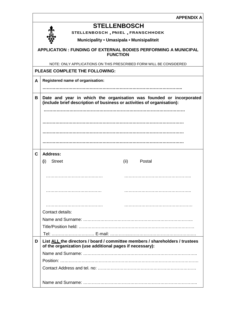|--|

|             | <b>STELLENBOSCH</b>                                                                                                                           |  |  |
|-------------|-----------------------------------------------------------------------------------------------------------------------------------------------|--|--|
|             | STELLENBOSCH, PNIEL, FRANSCHHOEK                                                                                                              |  |  |
|             | Municipality • Umasipala • Munisipaliteit                                                                                                     |  |  |
|             | APPLICATION : FUNDING OF EXTERNAL BODIES PERFORMING A MUNICIPAL<br><b>FUNCTION</b>                                                            |  |  |
|             | NOTE: ONLY APPLICATIONS ON THIS PRESCRIBED FORM WILL BE CONSIDERED                                                                            |  |  |
|             | PLEASE COMPLETE THE FOLLOWING:                                                                                                                |  |  |
| A           | Registered name of organisation:                                                                                                              |  |  |
|             |                                                                                                                                               |  |  |
| B           | Date and year in which the organisation was founded or incorporated<br>(include brief description of business or activities of organisation): |  |  |
|             |                                                                                                                                               |  |  |
|             |                                                                                                                                               |  |  |
|             |                                                                                                                                               |  |  |
|             |                                                                                                                                               |  |  |
| $\mathbf C$ | Address:                                                                                                                                      |  |  |
|             | <b>Street</b><br>(ii)<br>Postal<br>(i)                                                                                                        |  |  |
|             |                                                                                                                                               |  |  |
|             |                                                                                                                                               |  |  |
|             |                                                                                                                                               |  |  |
|             |                                                                                                                                               |  |  |
|             |                                                                                                                                               |  |  |
|             | Contact details:                                                                                                                              |  |  |
|             |                                                                                                                                               |  |  |
|             |                                                                                                                                               |  |  |
|             |                                                                                                                                               |  |  |
| D           | List ALL the directors / board / committee members / shareholders / trustees<br>of the organization (use additional pages if necessary):      |  |  |
|             |                                                                                                                                               |  |  |
|             |                                                                                                                                               |  |  |
|             |                                                                                                                                               |  |  |
|             |                                                                                                                                               |  |  |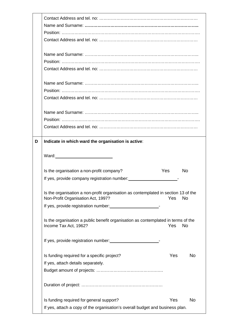| D | Indicate in which ward the organisation is active:                                                                       |     |           |
|---|--------------------------------------------------------------------------------------------------------------------------|-----|-----------|
|   |                                                                                                                          |     |           |
|   | Ward: Ward:                                                                                                              |     |           |
|   |                                                                                                                          |     |           |
|   |                                                                                                                          |     |           |
|   | Is the organisation a non-profit company?                                                                                | Yes | <b>No</b> |
|   | If yes, provide company registration number:                                                                             |     |           |
|   |                                                                                                                          |     |           |
|   | Is the organisation a non-profit organisation as contemplated in section 13 of the<br>Non-Profit Organisation Act, 1997? | Yes | <b>No</b> |
|   | If yes, provide registration number: 1997                                                                                |     |           |
|   |                                                                                                                          |     |           |
|   | Is the organisation a public benefit organisation as contemplated in terms of the<br>Income Tax Act, 1962?               | Yes | <b>No</b> |
|   |                                                                                                                          |     |           |
|   | Is funding required for a specific project?                                                                              | Yes | No        |
|   | If yes, attach details separately.                                                                                       |     |           |
|   |                                                                                                                          |     |           |
|   |                                                                                                                          |     |           |
|   | Is funding required for general support?                                                                                 | Yes | <b>No</b> |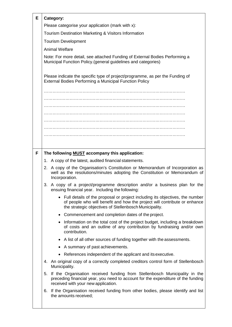| Е | Category:                                                                                                                                                                                                             |
|---|-----------------------------------------------------------------------------------------------------------------------------------------------------------------------------------------------------------------------|
|   | Please categorise your application (mark with x):                                                                                                                                                                     |
|   | Tourism Destination Marketing & Visitors Information                                                                                                                                                                  |
|   | <b>Tourism Development</b>                                                                                                                                                                                            |
|   | <b>Animal Welfare</b>                                                                                                                                                                                                 |
|   | Note: For more detail, see attached Funding of External Bodies Performing a<br>Municipal Function Policy. (general guidelines and categories)                                                                         |
|   | Please indicate the specific type of project/programme, as per the Funding of<br><b>External Bodies Performing a Municipal Function Policy</b>                                                                        |
|   |                                                                                                                                                                                                                       |
|   |                                                                                                                                                                                                                       |
|   |                                                                                                                                                                                                                       |
|   |                                                                                                                                                                                                                       |
|   |                                                                                                                                                                                                                       |
|   |                                                                                                                                                                                                                       |
|   |                                                                                                                                                                                                                       |
|   |                                                                                                                                                                                                                       |
| F | The following <b>MUST</b> accompany this application:                                                                                                                                                                 |
|   | 1. A copy of the latest, audited financial statements.                                                                                                                                                                |
|   | 2. A copy of the Organisation's Constitution or Memorandum of Incorporation as<br>well as the resolutions/minutes adopting the Constitution or Memorandum of<br>Incorporation.                                        |
|   | 3. A copy of a project/programme description and/or a business plan for the<br>ensuing financial year. Including the following:                                                                                       |
|   | • Full details of the proposal or project including its objectives, the number<br>of people who will benefit and how the project will contribute or enhance<br>the strategic objectives of Stellenbosch Municipality. |
|   | Commencement and completion dates of the project.                                                                                                                                                                     |
|   | Information on the total cost of the project budget, including a breakdown<br>of costs and an outline of any contribution by fundraising and/or own<br>contribution.                                                  |
|   | • A list of all other sources of funding together with the assessments.                                                                                                                                               |
|   | A summary of past achievements.<br>٠                                                                                                                                                                                  |
|   | References independent of the applicant and its executive.<br>٠                                                                                                                                                       |
|   | 4. An original copy of a correctly completed creditors control form of Stellenbosch<br>Municipality.                                                                                                                  |
|   | If the Organisation received funding from Stellenbosch Municipality in the<br>5.<br>preceding financial year, you need to account for the expenditure of the funding<br>received with your new application.           |
|   | If the Organisation received funding from other bodies, please identify and list<br>6.<br>the amounts received;                                                                                                       |
|   |                                                                                                                                                                                                                       |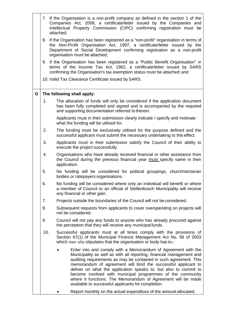|   |     | 7. If the Organisation is a non-profit company as defined in the section 1 of the<br>Companies Act, 2008, a certificate/letter issued by the Companies and<br>Intellectual Property Commission (CIPC) confirming registration must be<br>attached;                                                                                                                                                                                                                                                                                  |
|---|-----|-------------------------------------------------------------------------------------------------------------------------------------------------------------------------------------------------------------------------------------------------------------------------------------------------------------------------------------------------------------------------------------------------------------------------------------------------------------------------------------------------------------------------------------|
|   |     | 8. If the Organisation has been registered as a "non-profit" organisation in terms of<br>the Non-Profit Organisation Act, 1997, a certificate/letter issued by the<br>Department of Social Development confirming registration as a non-profit<br>organisation must be attached;                                                                                                                                                                                                                                                    |
|   |     | 9. If the Organisation has been registered as a "Public Benefit Organisation" in<br>terms of the Income Tax Act, 1962, a certificate/letter issued by SARS<br>confirming the Organisation's tax exemption status must be attached; and                                                                                                                                                                                                                                                                                              |
|   |     | 10. Valid Tax Clearance Certificate issued by SARS.                                                                                                                                                                                                                                                                                                                                                                                                                                                                                 |
| G |     | The following shall apply:                                                                                                                                                                                                                                                                                                                                                                                                                                                                                                          |
|   | 1.  | The allocation of funds will only be considered if the application document<br>has been fully completed and signed and is accompanied by the required<br>and supporting documentation referred to therein.                                                                                                                                                                                                                                                                                                                          |
|   |     | Applicants must in their submission clearly indicate / specify and motivate<br>what the funding will be utilised for.                                                                                                                                                                                                                                                                                                                                                                                                               |
|   | 2.  | The funding must be exclusively utilised for the purpose defined and the<br>successful applicant must submit the necessary undertaking to this effect.                                                                                                                                                                                                                                                                                                                                                                              |
|   | 3.  | Applicants must in their submission satisfy the Council of their ability to<br>execute the project successfully.                                                                                                                                                                                                                                                                                                                                                                                                                    |
|   | 4.  | Organisations who have already received financial or other assistance from<br>the Council during the previous financial year must specify same in their<br>application.                                                                                                                                                                                                                                                                                                                                                             |
|   | 5.  | No funding will be considered for political groupings, church/sectarian<br>bodies or ratepayers organisations.                                                                                                                                                                                                                                                                                                                                                                                                                      |
|   | 6.  | No funding will be considered where only an individual will benefit or where<br>a member of Council or an official of Stellenbosch Municipality will receive<br>any financial or other gain.                                                                                                                                                                                                                                                                                                                                        |
|   | 7.  | Projects outside the boundaries of the Council will not be considered.                                                                                                                                                                                                                                                                                                                                                                                                                                                              |
|   | 8.  | Subsequent requests from applicants to cover overspending on projects will<br>not be considered.                                                                                                                                                                                                                                                                                                                                                                                                                                    |
|   | 9.  | Council will not pay any funds to anyone who has already procured against<br>the perception that they will receive any municipal funds.                                                                                                                                                                                                                                                                                                                                                                                             |
|   | 10. | Successful applicants must at all times comply with the provisions of<br>Section 67(1) of the Municipal Finance Management Act No. 56 of 2003<br>which <i>inter alia</i> stipulates that the organisation or body has to:-                                                                                                                                                                                                                                                                                                          |
|   |     | Enter into and comply with a Memorandum of Agreement with the<br>Municipality as well as with all reporting, financial management and<br>auditing requirements as may be contained in such agreement. This<br>memorandum of agreement will bind the successful applicant to<br>deliver on what the application speaks to, but also to commit to<br>become involved with municipal programmes of the community<br>where it functions. The Memorandum of Agreement will be made<br>available to successful applicants for completion. |
|   |     | Report monthly on the actual expenditure of the amount allocated.                                                                                                                                                                                                                                                                                                                                                                                                                                                                   |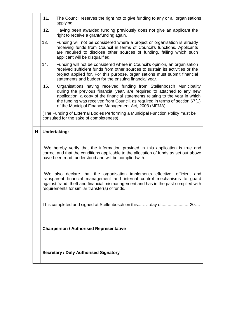|   | 11. | The Council reserves the right not to give funding to any or all organisations<br>applying.                                                                                                                                                                                                                                                                               |
|---|-----|---------------------------------------------------------------------------------------------------------------------------------------------------------------------------------------------------------------------------------------------------------------------------------------------------------------------------------------------------------------------------|
|   | 12. | Having been awarded funding previously does not give an applicant the<br>right to receive a grant/funding again.                                                                                                                                                                                                                                                          |
|   | 13. | Funding will not be considered where a project or organisation is already<br>receiving funds from Council in terms of Council's functions. Applicants<br>are required to disclose other sources of funding, failing which such<br>applicant will be disqualified.                                                                                                         |
|   | 14. | Funding will not be considered where in Council's opinion, an organisation<br>received sufficient funds from other sources to sustain its activities or the<br>project applied for. For this purpose, organisations must submit financial<br>statements and budget for the ensuing financial year.                                                                        |
|   | 15. | Organisations having received funding from Stellenbosch Municipality<br>during the previous financial year, are required to attached to any new<br>application, a copy of the financial statements relating to the year in which<br>the funding was received from Council, as required in terms of section 67(1)<br>of the Municipal Finance Management Act, 2003 (MFMA). |
|   |     | (The Funding of External Bodies Performing a Municipal Function Policy must be<br>consulted for the sake of completeness)                                                                                                                                                                                                                                                 |
| н |     | <b>Undertaking:</b>                                                                                                                                                                                                                                                                                                                                                       |
|   |     | I/We hereby verify that the information provided in this application is true and<br>correct and that the conditions applicable to the allocation of funds as set out above<br>have been read, understood and will be complied with.                                                                                                                                       |
|   |     | I/We also declare that the organisation implements effective, efficient and<br>transparent financial management and internal control mechanisms to guard<br>against fraud, theft and financial mismanagement and has in the past complied with<br>requirements for similar transfer(s) of funds.                                                                          |
|   |     | This completed and signed at Stellenbosch on thisday of20                                                                                                                                                                                                                                                                                                                 |
|   |     | <b>Chairperson / Authorised Representative</b>                                                                                                                                                                                                                                                                                                                            |
|   |     | <b>Secretary / Duly Authorised Signatory</b>                                                                                                                                                                                                                                                                                                                              |